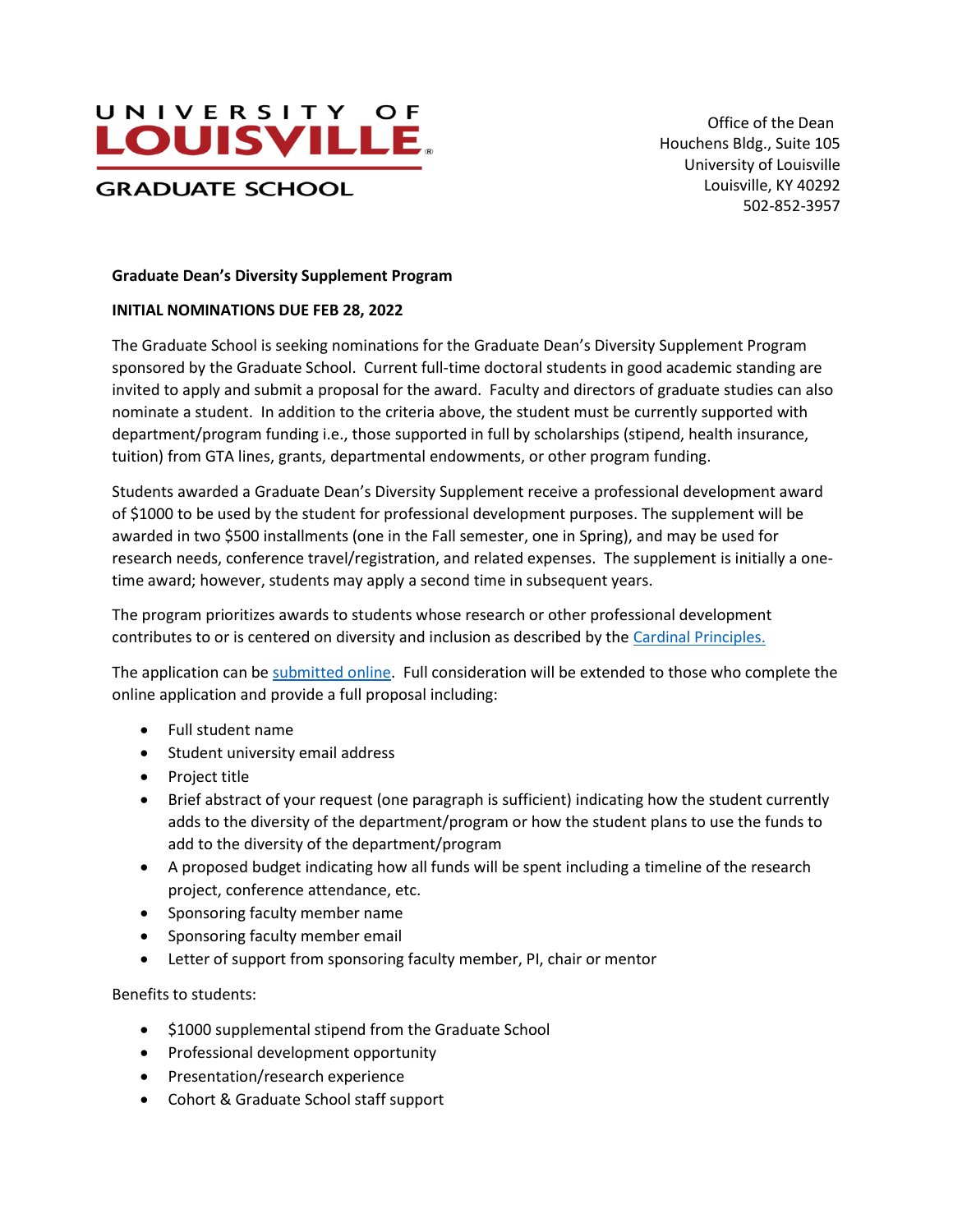

 Office of the Dean Houchens Bldg., Suite 105 University of Louisville Louisville, KY 40292 502-852-3957

## **Graduate Dean's Diversity Supplement Program**

## **INITIAL NOMINATIONS DUE FEB 28, 2022**

The Graduate School is seeking nominations for the Graduate Dean's Diversity Supplement Program sponsored by the Graduate School. Current full-time doctoral students in good academic standing are invited to apply and submit a proposal for the award. Faculty and directors of graduate studies can also nominate a student. In addition to the criteria above, the student must be currently supported with department/program funding i.e., those supported in full by scholarships (stipend, health insurance, tuition) from GTA lines, grants, departmental endowments, or other program funding.

Students awarded a Graduate Dean's Diversity Supplement receive a professional development award of \$1000 to be used by the student for professional development purposes. The supplement will be awarded in two \$500 installments (one in the Fall semester, one in Spring), and may be used for research needs, conference travel/registration, and related expenses. The supplement is initially a onetime award; however, students may apply a second time in subsequent years.

The program prioritizes awards to students whose research or other professional development contributes to or is centered on diversity and inclusion as described by th[e Cardinal Principles.](https://louisville.edu/about/cardinal-principles)

The application can be [submitted online.](https://louisville.edu/graduate/diversity/dean-diversity-fellows-program) Full consideration will be extended to those who complete the online application and provide a full proposal including:

- Full student name
- Student university email address
- Project title
- Brief abstract of your request (one paragraph is sufficient) indicating how the student currently adds to the diversity of the department/program or how the student plans to use the funds to add to the diversity of the department/program
- A proposed budget indicating how all funds will be spent including a timeline of the research project, conference attendance, etc.
- Sponsoring faculty member name
- Sponsoring faculty member email
- Letter of support from sponsoring faculty member, PI, chair or mentor

Benefits to students:

- \$1000 supplemental stipend from the Graduate School
- Professional development opportunity
- Presentation/research experience
- Cohort & Graduate School staff support